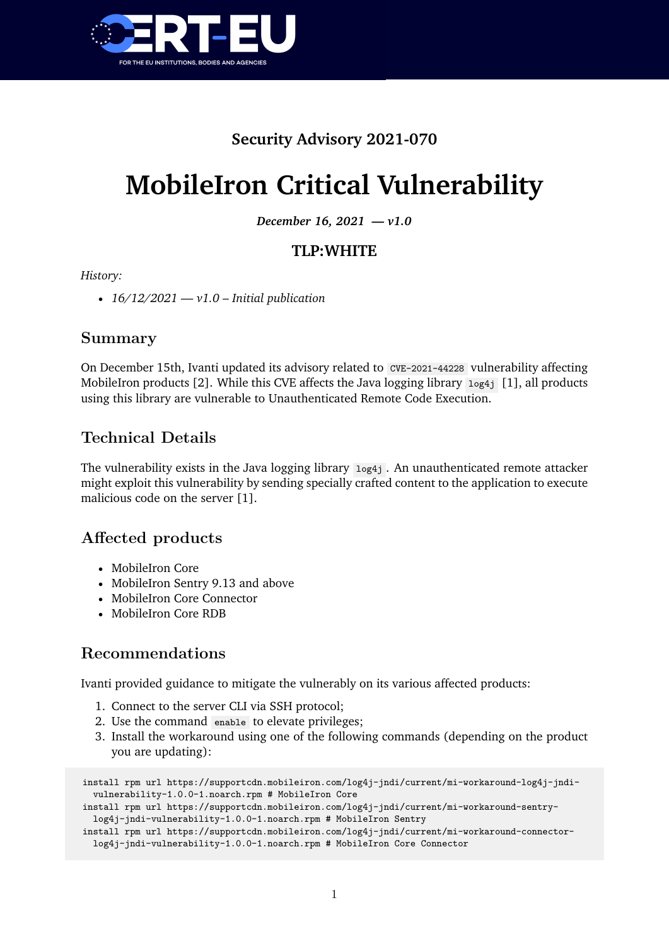

## **Security Advisory 2021-070**

# **MobileIron Critical Vulnerability**

*December 16, 2021 — v1.0*

#### **TLP:WHITE**

#### *History:*

• *16/12/2021 — v1.0 – Initial publication*

#### **Summary**

On December 15th, Ivanti updated its advisory related to CVE-2021-44228 vulnerability affecting MobileIron products [2]. While this CVE affects the Java logging library log4j [1], all products using this library are vulnerable to Unauthenticated Remote Code Execution.

### **Technical Details**

The vulnerability exists in the Java logging library  $log_{4}i$ . An unauthenticated remote attacker might exploit this vulnerability by sending specially crafted content to the application to execute malicious code on the server [1].

### **Affected products**

- MobileIron Core
- MobileIron Sentry 9.13 and above
- MobileIron Core Connector
- MobileIron Core RDB

### **Recommendations**

Ivanti provided guidance to mitigate the vulnerably on its various affected products:

- 1. Connect to the server CLI via SSH protocol;
- 2. Use the command enable to elevate privileges;
- 3. Install the workaround using one of the following commands (depending on the product you are updating):

```
install rpm url https://supportcdn.mobileiron.com/log4j-jndi/current/mi-workaround-log4j-jndi-
 vulnerability-1.0.0-1.noarch.rpm # MobileIron Core
install rpm url https://supportcdn.mobileiron.com/log4j-jndi/current/mi-workaround-sentry-
 log4j-jndi-vulnerability-1.0.0-1.noarch.rpm # MobileIron Sentry
install rpm url https://supportcdn.mobileiron.com/log4j-jndi/current/mi-workaround-connector-
 log4j-jndi-vulnerability-1.0.0-1.noarch.rpm # MobileIron Core Connector
```